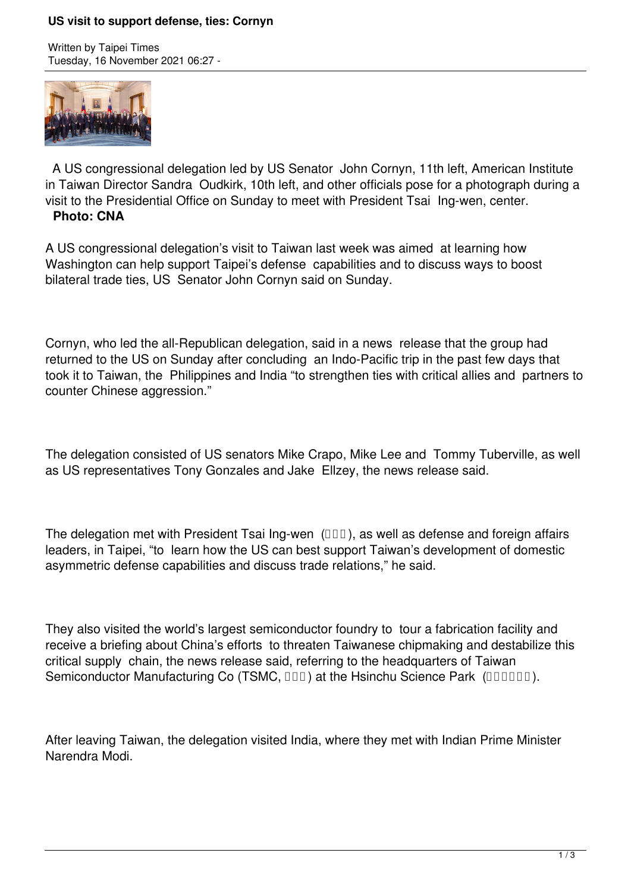## **US visit to support defense, ties: Cornyn**

Written by Taipei Times Tuesday, 16 November 2021 06:27 -



 A US congressional delegation led by US Senator John Cornyn, 11th left, American Institute in Taiwan Director Sandra Oudkirk, 10th left, and other officials pose for a photograph during a visit to the Presidential Office on Sunday to meet with President Tsai Ing-wen, center. **Photo: CNA**

A US congressional delegation's visit to Taiwan last week was aimed at learning how Washington can help support Taipei's defense capabilities and to discuss ways to boost bilateral trade ties, US Senator John Cornyn said on Sunday.

Cornyn, who led the all-Republican delegation, said in a news release that the group had returned to the US on Sunday after concluding an Indo-Pacific trip in the past few days that took it to Taiwan, the Philippines and India "to strengthen ties with critical allies and partners to counter Chinese aggression."

The delegation consisted of US senators Mike Crapo, Mike Lee and Tommy Tuberville, as well as US representatives Tony Gonzales and Jake Ellzey, the news release said.

The delegation met with President Tsai Ing-wen  $(III)$ , as well as defense and foreign affairs leaders, in Taipei, "to learn how the US can best support Taiwan's development of domestic asymmetric defense capabilities and discuss trade relations," he said.

They also visited the world's largest semiconductor foundry to tour a fabrication facility and receive a briefing about China's efforts to threaten Taiwanese chipmaking and destabilize this critical supply chain, the news release said, referring to the headquarters of Taiwan Semiconductor Manufacturing Co (TSMC, QUE) at the Hsinchu Science Park (COUDED).

After leaving Taiwan, the delegation visited India, where they met with Indian Prime Minister Narendra Modi.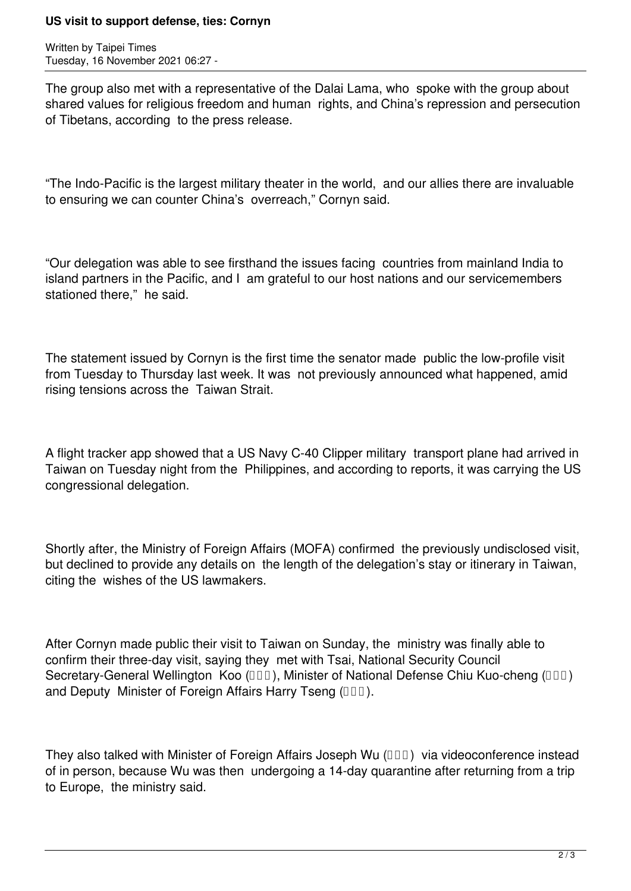## **US visit to support defense, ties: Cornyn**

Written by Taipei Times Tuesday, 16 November 2021 06:27 -

The group also met with a representative of the Dalai Lama, who spoke with the group about shared values for religious freedom and human rights, and China's repression and persecution of Tibetans, according to the press release.

"The Indo-Pacific is the largest military theater in the world, and our allies there are invaluable to ensuring we can counter China's overreach," Cornyn said.

"Our delegation was able to see firsthand the issues facing countries from mainland India to island partners in the Pacific, and I am grateful to our host nations and our servicemembers stationed there," he said.

The statement issued by Cornyn is the first time the senator made public the low-profile visit from Tuesday to Thursday last week. It was not previously announced what happened, amid rising tensions across the Taiwan Strait.

A flight tracker app showed that a US Navy C-40 Clipper military transport plane had arrived in Taiwan on Tuesday night from the Philippines, and according to reports, it was carrying the US congressional delegation.

Shortly after, the Ministry of Foreign Affairs (MOFA) confirmed the previously undisclosed visit, but declined to provide any details on the length of the delegation's stay or itinerary in Taiwan, citing the wishes of the US lawmakers.

After Cornyn made public their visit to Taiwan on Sunday, the ministry was finally able to confirm their three-day visit, saying they met with Tsai, National Security Council Secretary-General Wellington Koo ( $\Box\Box$ ), Minister of National Defense Chiu Kuo-cheng ( $\Box\Box$ ) and Deputy Minister of Foreign Affairs Harry Tseng (

They also talked with Minister of Foreign Affairs Joseph Wu  $(III)$  via videoconference instead of in person, because Wu was then undergoing a 14-day quarantine after returning from a trip to Europe, the ministry said.